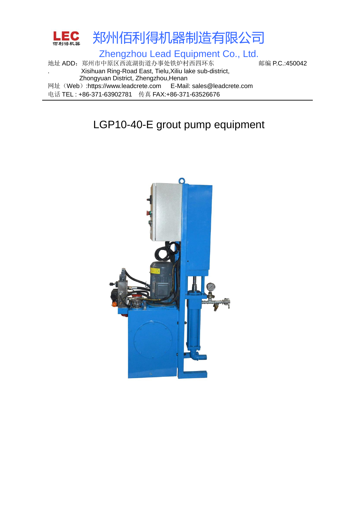

地址 ADD: 郑州市中原区西流湖街道办事处铁炉村西四环东 邮编 P.C.:450042 . Xisihuan Ring-Road East, Tielu,Xiliu lake sub-district, Zhongyuan District, Zhengzhou,Henan 网址(Web):https://www.leadcrete.com E-Mail: sales@leadcrete.com 电话 TEL : +86-371-63902781 传真 FAX:+86-371-63526676

# LGP10-40-E grout pump equipment

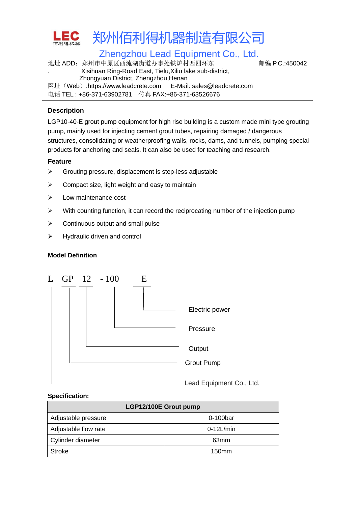

地址 ADD: 郑州市中原区西流湖街道办事处铁炉村西四环东 邮编 P.C.:450042 . Xisihuan Ring-Road East, Tielu,Xiliu lake sub-district, Zhongyuan District, Zhengzhou,Henan 网址(Web):https://www.leadcrete.com E-Mail: sales@leadcrete.com 电话 TEL : +86-371-63902781 传真 FAX:+86-371-63526676

## **Description**

LGP10-40-E grout pump equipment for high rise building is a custom made mini type grouting pump, mainly used for injecting cement grout tubes, repairing damaged / dangerous structures, consolidating or weatherproofing walls, rocks, dams, and tunnels, pumping special products for anchoring and seals. It can also be used for teaching and research.

#### **Feature**

- Grouting pressure, displacement is step-less adjustable
- $\triangleright$  Compact size, light weight and easy to maintain
- $\triangleright$  Low maintenance cost
- $\triangleright$  With counting function, it can record the reciprocating number of the injection pump
- $\triangleright$  Continuous output and small pulse
- $\triangleright$  Hydraulic driven and control

#### **Model Definition**



Lead Equipment Co., Ltd.

## **Specification:**

| LGP12/100E Grout pump |                   |
|-----------------------|-------------------|
| Adjustable pressure   | 0-100bar          |
| Adjustable flow rate  | $0-12$ L/min      |
| Cylinder diameter     | 63mm              |
| Stroke                | 150 <sub>mm</sub> |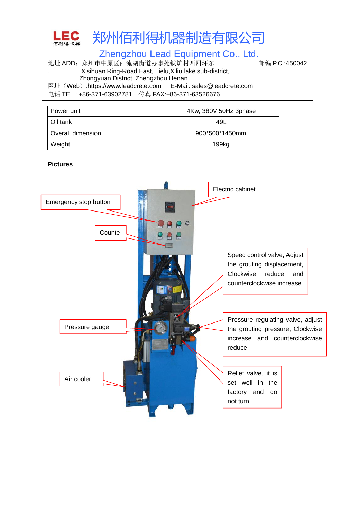

地址 ADD:郑州市中原区西流湖街道办事处铁炉村西四环东 邮编 P.C.:450042 . Xisihuan Ring-Road East, Tielu,Xiliu lake sub-district,

Zhongyuan District, Zhengzhou,Henan 网址(Web):https://www.leadcrete.com E-Mail: sales@leadcrete.com

电话 TEL : +86-371-63902781 传真 FAX:+86-371-63526676

| Power unit        | 4Kw, 380V 50Hz 3phase |
|-------------------|-----------------------|
| Oil tank          | 49L                   |
| Overall dimension | 900*500*1450mm        |
| Weight            | 199kg                 |

#### **Pictures**

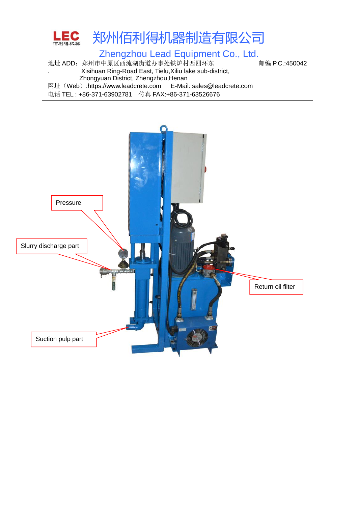